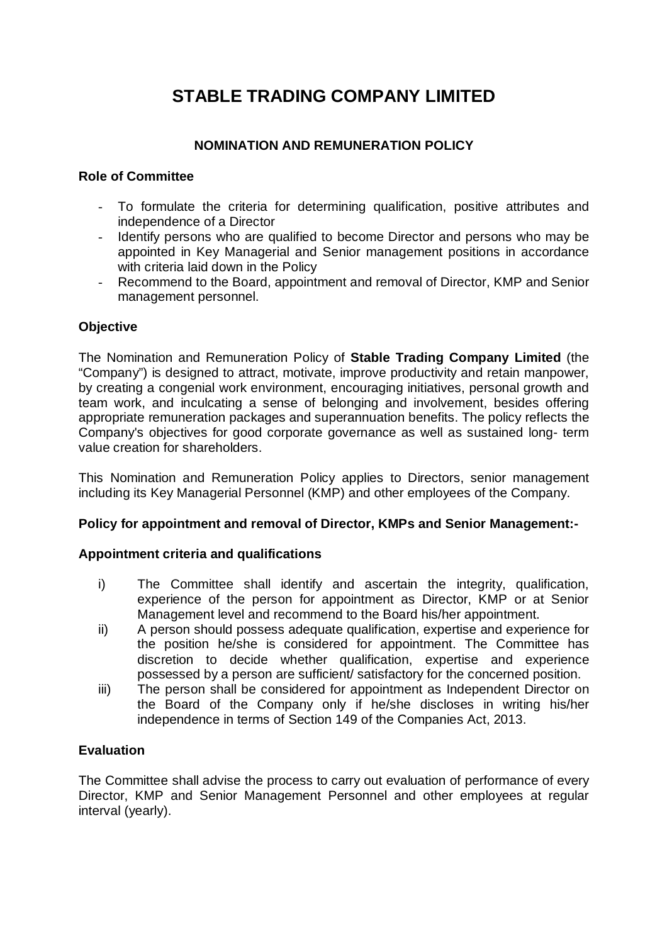# **STABLE TRADING COMPANY LIMITED**

# **NOMINATION AND REMUNERATION POLICY**

## **Role of Committee**

- To formulate the criteria for determining qualification, positive attributes and independence of a Director
- Identify persons who are qualified to become Director and persons who may be appointed in Key Managerial and Senior management positions in accordance with criteria laid down in the Policy
- Recommend to the Board, appointment and removal of Director, KMP and Senior management personnel.

## **Objective**

The Nomination and Remuneration Policy of **Stable Trading Company Limited** (the "Company") is designed to attract, motivate, improve productivity and retain manpower, by creating a congenial work environment, encouraging initiatives, personal growth and team work, and inculcating a sense of belonging and involvement, besides offering appropriate remuneration packages and superannuation benefits. The policy reflects the Company's objectives for good corporate governance as well as sustained long- term value creation for shareholders.

This Nomination and Remuneration Policy applies to Directors, senior management including its Key Managerial Personnel (KMP) and other employees of the Company.

#### **Policy for appointment and removal of Director, KMPs and Senior Management:-**

#### **Appointment criteria and qualifications**

- i) The Committee shall identify and ascertain the integrity, qualification, experience of the person for appointment as Director, KMP or at Senior Management level and recommend to the Board his/her appointment.
- ii) A person should possess adequate qualification, expertise and experience for the position he/she is considered for appointment. The Committee has discretion to decide whether qualification, expertise and experience possessed by a person are sufficient/ satisfactory for the concerned position.
- iii) The person shall be considered for appointment as Independent Director on the Board of the Company only if he/she discloses in writing his/her independence in terms of Section 149 of the Companies Act, 2013.

#### **Evaluation**

The Committee shall advise the process to carry out evaluation of performance of every Director, KMP and Senior Management Personnel and other employees at regular interval (yearly).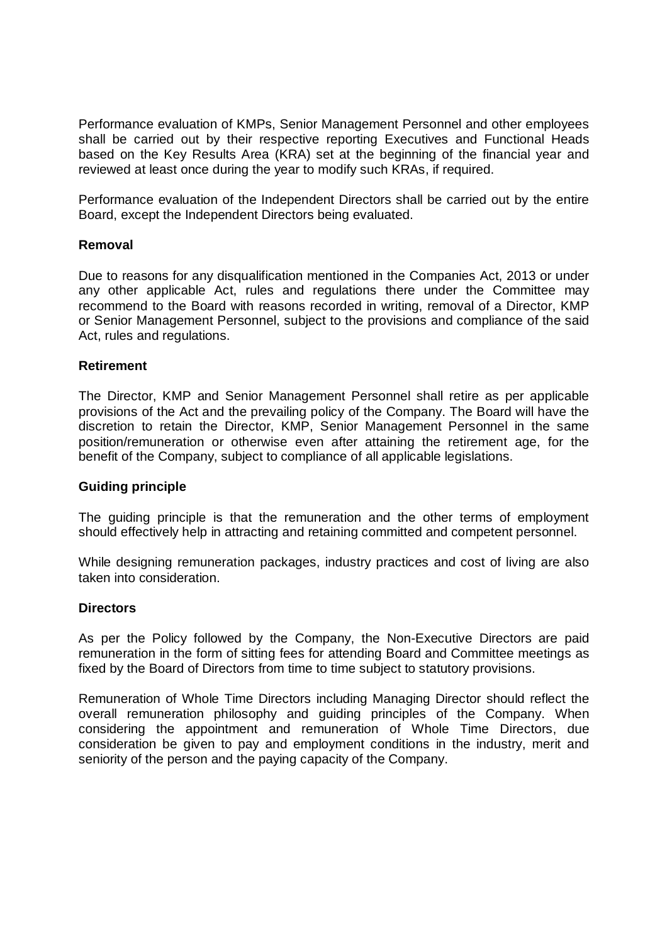Performance evaluation of KMPs, Senior Management Personnel and other employees shall be carried out by their respective reporting Executives and Functional Heads based on the Key Results Area (KRA) set at the beginning of the financial year and reviewed at least once during the year to modify such KRAs, if required.

Performance evaluation of the Independent Directors shall be carried out by the entire Board, except the Independent Directors being evaluated.

## **Removal**

Due to reasons for any disqualification mentioned in the Companies Act, 2013 or under any other applicable Act, rules and regulations there under the Committee may recommend to the Board with reasons recorded in writing, removal of a Director, KMP or Senior Management Personnel, subject to the provisions and compliance of the said Act, rules and regulations.

#### **Retirement**

The Director, KMP and Senior Management Personnel shall retire as per applicable provisions of the Act and the prevailing policy of the Company. The Board will have the discretion to retain the Director, KMP, Senior Management Personnel in the same position/remuneration or otherwise even after attaining the retirement age, for the benefit of the Company, subject to compliance of all applicable legislations.

#### **Guiding principle**

The guiding principle is that the remuneration and the other terms of employment should effectively help in attracting and retaining committed and competent personnel.

While designing remuneration packages, industry practices and cost of living are also taken into consideration.

#### **Directors**

As per the Policy followed by the Company, the Non-Executive Directors are paid remuneration in the form of sitting fees for attending Board and Committee meetings as fixed by the Board of Directors from time to time subject to statutory provisions.

Remuneration of Whole Time Directors including Managing Director should reflect the overall remuneration philosophy and guiding principles of the Company. When considering the appointment and remuneration of Whole Time Directors, due consideration be given to pay and employment conditions in the industry, merit and seniority of the person and the paying capacity of the Company.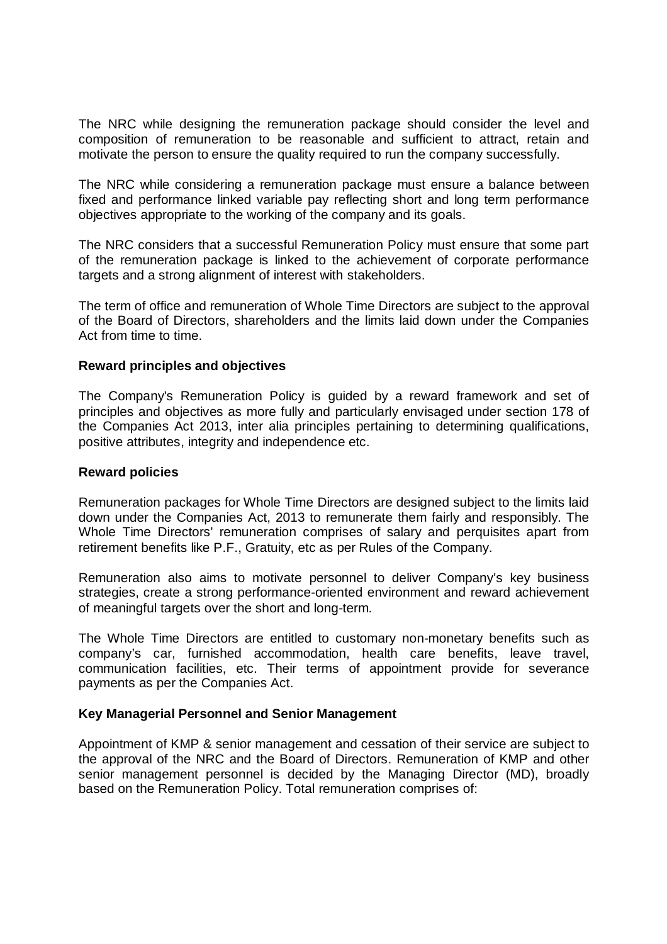The NRC while designing the remuneration package should consider the level and composition of remuneration to be reasonable and sufficient to attract, retain and motivate the person to ensure the quality required to run the company successfully.

The NRC while considering a remuneration package must ensure a balance between fixed and performance linked variable pay reflecting short and long term performance objectives appropriate to the working of the company and its goals.

The NRC considers that a successful Remuneration Policy must ensure that some part of the remuneration package is linked to the achievement of corporate performance targets and a strong alignment of interest with stakeholders.

The term of office and remuneration of Whole Time Directors are subject to the approval of the Board of Directors, shareholders and the limits laid down under the Companies Act from time to time.

#### **Reward principles and objectives**

The Company's Remuneration Policy is guided by a reward framework and set of principles and objectives as more fully and particularly envisaged under section 178 of the Companies Act 2013, inter alia principles pertaining to determining qualifications, positive attributes, integrity and independence etc.

#### **Reward policies**

Remuneration packages for Whole Time Directors are designed subject to the limits laid down under the Companies Act, 2013 to remunerate them fairly and responsibly. The Whole Time Directors' remuneration comprises of salary and perquisites apart from retirement benefits like P.F., Gratuity, etc as per Rules of the Company.

Remuneration also aims to motivate personnel to deliver Company's key business strategies, create a strong performance-oriented environment and reward achievement of meaningful targets over the short and long-term.

The Whole Time Directors are entitled to customary non-monetary benefits such as company's car, furnished accommodation, health care benefits, leave travel, communication facilities, etc. Their terms of appointment provide for severance payments as per the Companies Act.

#### **Key Managerial Personnel and Senior Management**

Appointment of KMP & senior management and cessation of their service are subject to the approval of the NRC and the Board of Directors. Remuneration of KMP and other senior management personnel is decided by the Managing Director (MD), broadly based on the Remuneration Policy. Total remuneration comprises of: